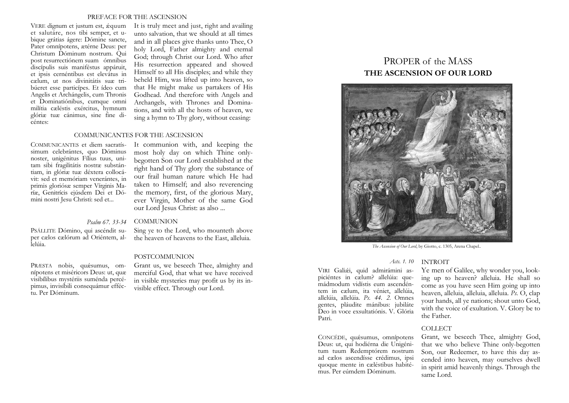### PREFACE FOR THE ASCENSION

VERE dignum et justum est, ǽquum et salutáre, nos tibi semper, et ubique grátias ágere: Dómine sancte, Pater omnípotens, ætérne Deus: per Christum Dóminum nostrum. Qui post resurrectiónem suam ómnibus discípulis suis maniféstus appáruit, et ipsis cernéntibus est elevátus in cælum, ut nos divinitátis suæ tribúeret esse particípes. Et ídeo cum Angelis et Archángelis, cum Thronis et Dominatiónibus, cumque omni milítia cæléstis exércitus, hymnum glóriæ tuæ cánimus, sine fine dicéntes:

It is truly meet and just, right and availing unto salvation, that we should at all times and in all places give thanks unto Thee, O holy Lord, Father almighty and eternal God; through Christ our Lord. Who after His resurrection appeared and showed Himself to all His disciples; and while they beheld Him, was lifted up into heaven, so that He might make us partakers of His Godhead. And therefore with Angels and Archangels, with Thrones and Dominations, and with all the hosts of heaven, we sing a hymn to Thy glory, without ceasing:

### COMMUNICANTES FOR THE ASCENSION

COMMUNICANTES et diem sacratíssimum celebrántes, quo Dóminus noster, unigénitus Fílius tuus, unitam sibi fragilitátis nostræ substántiam, in glóriæ tuæ déxtera collocávit: sed et memóriam venerántes, in primis gloriósæ semper Vírginis Maríæ, Genitrícis ejúsdem Dei et Dómini nostri Jesu Christi: sed et...

It communion with, and keeping the most holy day on which Thine onlybegotten Son our Lord established at the right hand of Thy glory the substance of our frail human nature which He had taken to Himself; and also reverencing the memory, first, of the glorious Mary, ever Virgin, Mother of the same God our Lord Jesus Christ: as also ...

# *Psalm 67. 33-34* COMMUNION

PSÁLLITE Dómino, qui ascéndit super cælos cælórum ad Oriéntem, al-

PRÆSTA nobis, qu ǽsumus, omnípotens et miséricors Deus: ut, quæ visibílibus mystériis suménda percépimus, invisíbili consequámur efféctu. Per Dóminum.

Sing ye to the Lord, who mounteth above the heaven of heavens to the East, alleluia.

# POSTCOMMUNION

Grant us, we beseech Thee, almighty and merciful God, that what we have received in visible mysteries may profit us by its invisible effect. Through our Lord.

# PROPER of the MASS **THE ASCENSION OF OUR LORD**



*The Ascension of Our Lord*, by Giotto, c. 1305, Arena Chapel*.*.

*Acts. 1. 10* INTROIT

VIRI Gali ǽi, quid admirámini aspiciéntes in cælum? allelúia: quemádmodum vidístis eum ascendéntem in cælum, ita véniet, allelúia, allelúia, allelúia. *Ps. 44. 2.* Omnes gentes, pláudite mánibus: jubiláte Deo in voce exsultatiónis. V. Glória Patri.

CONCÉDE, quáesumus, omnípotens Deus: ut, qui hodiérna die Unigénitum tuum Redemptórem nostrum ad cælos ascendísse crédimus, ipsi quoque mente in cæléstibus habité-mus. Per eúmdem Dóminum.

Ye men of Galilee, why wonder you, looking up to heaven? alleluia. He shall so come as you have seen Him going up into heaven, alleluia, alleluia, alleluia. *Ps.* O, clap your hands, all ye nations; shout unto God, with the voice of exultation. V. Glory be to the Father.

#### COLLECT

Grant, we beseech Thee, almighty God, that we who believe Thine only-begotten Son, our Redeemer, to have this day ascended into heaven, may ourselves dwell in spirit amid heavenly things. Through the same Lord.